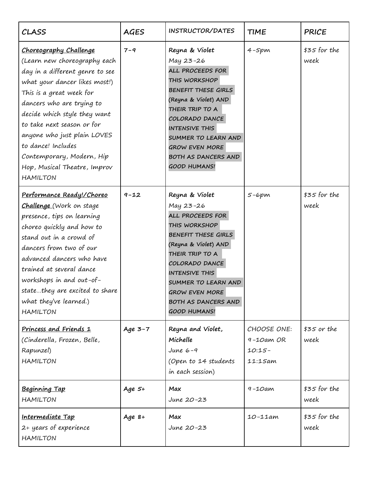| CLASS                                                                                                                                                                                                                                                                                                                                                                                         | <b>AGES</b> | INSTRUCTOR/DATES                                                                                                                                                                                                                                                                   | <b>TIME</b>                                             | <b>PRICE</b>          |
|-----------------------------------------------------------------------------------------------------------------------------------------------------------------------------------------------------------------------------------------------------------------------------------------------------------------------------------------------------------------------------------------------|-------------|------------------------------------------------------------------------------------------------------------------------------------------------------------------------------------------------------------------------------------------------------------------------------------|---------------------------------------------------------|-----------------------|
| <b>Choreography Challenge</b><br>(Learn new choreography each<br>day in a different genre to see<br>what your dancer likes most!)<br>This is a great week for<br>dancers who are trying to<br>decide which style they want<br>to take next season or for<br>anyone who just plain LOVES<br>to dance! Includes<br>Contemporary, Modern, Hip<br>Hop, Musical Theatre, Improv<br><b>HAMILTON</b> | $7 - 9$     | Reyna & Violet<br>May 23-26<br>ALL PROCEEDS FOR<br>THIS WORKSHOP<br>BENEFIT THESE GIRLS<br>(Reyna & Violet) AND<br>THEIR TRIP TO A<br>COLORADO DANCE<br><b>INTENSIVE THIS</b><br>SUMMER TO LEARN AND<br><b>GROW EVEN MORE</b><br><b>BOTH AS DANCERS AND</b><br><b>GOOD HUMANS!</b> | $4-5pm$                                                 | $$35$ for the<br>week |
| Performance Ready!/Choreo<br><b>Challenge</b> (Work on stage<br>presence, tips on learning<br>choreo quickly and how to<br>stand out in a crowd of<br>dancers from two of our<br>advanced dancers who have<br>trained at several dance<br>workshops in and out-of-<br>statethey are excited to share<br>what they've learned.)<br><b>HAMILTON</b>                                             | $9 - 12$    | Reyna & Violet<br>May 23-26<br>ALL PROCEEDS FOR<br>THIS WORKSHOP<br>BENEFIT THESE GIRLS<br>(Reyna & Violet) AND<br>THEIR TRIP TO A<br>COLORADO DANCE<br><b>INTENSIVE THIS</b><br>SUMMER TO LEARN AND<br><b>GROW EVEN MORE</b><br><b>BOTH AS DANCERS AND</b><br><b>GOOD HUMANS!</b> | $5-6pm$                                                 | $$35$ for the<br>week |
| Princess and Friends 1<br>(Cinderella, Frozen, Belle,<br>Rapunzel)<br><b>HAMILTON</b>                                                                                                                                                                                                                                                                                                         | Age $3-7$   | Reyna and Violet,<br>Michelle<br>June $6-9$<br>(Open to 14 students<br>in each session)                                                                                                                                                                                            | CHOOSE ONE:<br>$9 - 10$ am OR<br>$10:15-$<br>$11:15$ am | $$35$ or the<br>week  |
| <b>Beginning Tap</b><br><b>HAMILTON</b>                                                                                                                                                                                                                                                                                                                                                       | Age $5+$    | Max<br>June 20-23                                                                                                                                                                                                                                                                  | $9 - 10$ am                                             | $$35$ for the<br>week |
| <u>Intermediate Tap</u><br>2+ years of experience<br><b>HAMILTON</b>                                                                                                                                                                                                                                                                                                                          | Age $8+$    | Max<br>June 20-23                                                                                                                                                                                                                                                                  | $10 - 11$ am                                            | $$35$ for the<br>week |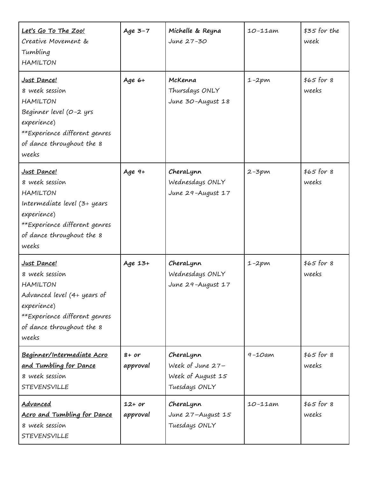| Let's Go To The Zoo!<br>Creative Movement &<br>Tumbling<br><b>HAMILTON</b>                                                                                             | Age $3-7$            | Michelle & Reyna<br>June 27-30                                      | $10 - 11$ am | $$35$ for the<br>week |
|------------------------------------------------------------------------------------------------------------------------------------------------------------------------|----------------------|---------------------------------------------------------------------|--------------|-----------------------|
| Just Dance!<br>8 week session<br><b>HAMILTON</b><br>Beginner level (0-2 yrs<br>experience)<br>**Experience different genres<br>of dance throughout the 8<br>weeks      | Age $6+$             | McKenna<br>Thursdays ONLY<br>June 30-August 18                      | $1 - 2pm$    | $$65$ for 8<br>weeks  |
| Just Dance!<br>8 week session<br><b>HAMILTON</b><br>Intermediate level (3+ years<br>experience)<br>**Experience different genres<br>of dance throughout the 8<br>weeks | Age $9+$             | CheraLynn<br>Wednesdays ONLY<br>June 29-August 17                   | $2 - 3pm$    | $$65$ for 8<br>weeks  |
| Just Dance!<br>8 week session<br><b>HAMILTON</b><br>Advanced level (4+ years of<br>experience)<br>**Experience different genres<br>of dance throughout the 8<br>weeks  | Age 13+              | CheraLynn<br>Wednesdays ONLY<br>June 29-August 17                   | $1 - 2pm$    | $$65$ for 8<br>weeks  |
| Beginner/Intermediate Acro<br>and Tumbling for Dance<br>8 week session<br><b>STEVENSVILLE</b>                                                                          | $8+$ or<br>approval  | CheraLynn<br>Week of June 27-<br>Week of August 15<br>Tuesdays ONLY | $9 - 10$ am  | $$65$ for 8<br>weeks  |
| Advanced<br>Acro and Tumbling for Dance<br>8 week session<br><b>STEVENSVILLE</b>                                                                                       | $12+$ or<br>approval | CheraLynn<br>June 27-August 15<br>Tuesdays ONLY                     | $10 - 11$ am | $$65$ for 8<br>weeks  |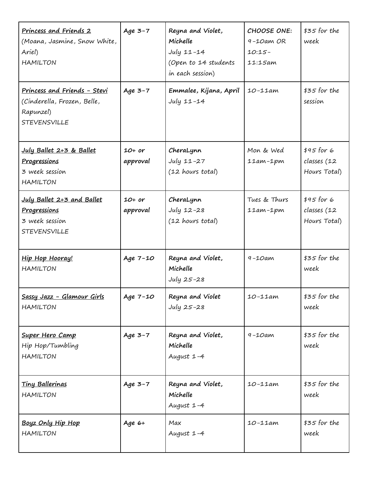| <u>Princess and Friends 2</u><br>(Moana, Jasmine, Snow White,<br>Ariel)<br><b>HAMILTON</b>             | Age $3-7$            | Reyna and Violet,<br>Michelle<br>$July 11 - 14$<br>(Open to 14 students<br>in each session) | CHOOSE ONE:<br>$9 - 10$ am OR<br>$10:15-$<br>$11:15$ am | $$35$ for the<br>week                      |
|--------------------------------------------------------------------------------------------------------|----------------------|---------------------------------------------------------------------------------------------|---------------------------------------------------------|--------------------------------------------|
| <u>Princess and Friends - Stevi</u><br>(Cinderella, Frozen, Belle,<br>Rapunzel)<br><b>STEVENSVILLE</b> | Age $3-7$            | Emmalee, Kijana, April<br>July 11-14                                                        | $10 - 11$ am                                            | $$35$ for the<br>session                   |
| July Ballet 2+3 & Ballet<br>Progressions<br>3 week session<br><b>HAMILTON</b>                          | $10+ or$<br>approval | CheraLynn<br>July 11-27<br>(12 hours total)                                                 | Mon & Wed<br>$11am-1pm$                                 | $$45$ for 6<br>classes (12<br>Hours Total) |
| July Ballet 2+3 and Ballet<br>Progressions<br>3 week session<br><b>STEVENSVILLE</b>                    | $10+ or$<br>approval | CheraLynn<br>July 12-28<br>(12 hours total)                                                 | Tues & Thurs<br>$11am-1pm$                              | $$45$ for 6<br>classes (12<br>Hours Total) |
| Hip Hop Hooray!<br><b>HAMILTON</b>                                                                     | Age 7-10             | Reyna and Violet,<br>Michelle<br>July 25-28                                                 | $9 - 10$ am                                             | $$35$ for the<br>week                      |
| Sassy Jazz - Glamour Girls<br><b>HAMILTON</b>                                                          | Age 7-10             | Reyna and Violet<br>July 25-28                                                              | $10 - 11$ am                                            | $$35$ for the<br>week                      |
| Super Hero Camp<br>Hip Hop/Tumbling<br><b>HAMILTON</b>                                                 | Age $3-7$            | Reyna and Violet,<br>Michelle<br>August 1-4                                                 | $9 - 10$ am                                             | $$35$ for the<br>week                      |
| <b>Tiny Ballerinas</b><br><b>HAMILTON</b>                                                              | Age $3-7$            | Reyna and Violet,<br>Michelle<br>August 1-4                                                 | $10 - 11$ am                                            | $$35$ for the<br>week                      |
| Boyz Only Hip Hop<br><b>HAMILTON</b>                                                                   | Age $6+$             | Max<br>August 1-4                                                                           | $10 - 11$ am                                            | $$35$ for the<br>week                      |